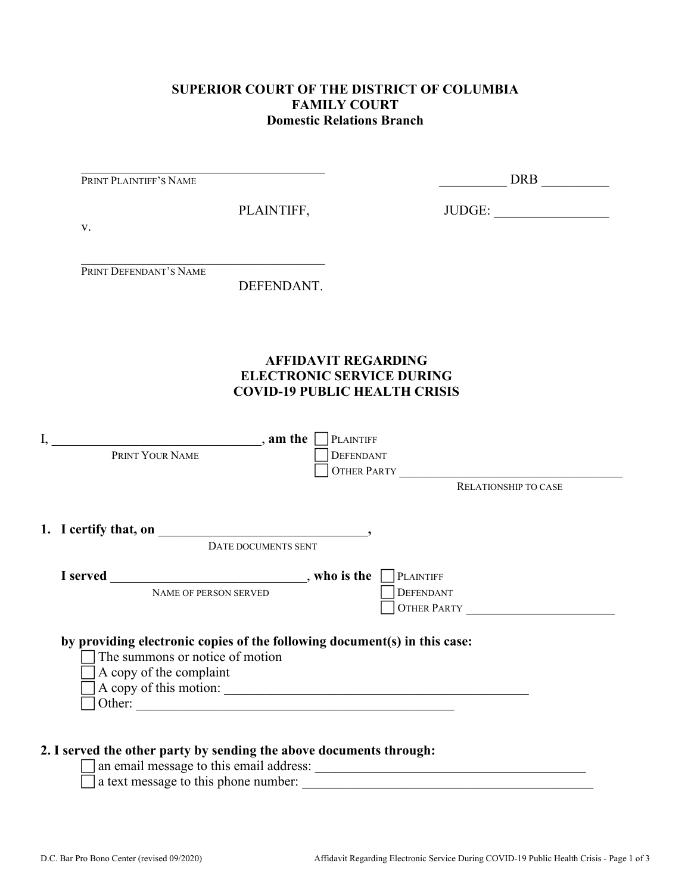## **SUPERIOR COURT OF THE DISTRICT OF COLUMBIA FAMILY COURT Domestic Relations Branch**

| PRINT PLAINTIFF'S NAME                                                                                                                  |                                                                                                        | DRB                                                 |
|-----------------------------------------------------------------------------------------------------------------------------------------|--------------------------------------------------------------------------------------------------------|-----------------------------------------------------|
| V.                                                                                                                                      | PLAINTIFF,                                                                                             | JUDGE:                                              |
| PRINT DEFENDANT'S NAME                                                                                                                  | DEFENDANT.                                                                                             |                                                     |
|                                                                                                                                         | <b>AFFIDAVIT REGARDING</b><br><b>ELECTRONIC SERVICE DURING</b><br><b>COVID-19 PUBLIC HEALTH CRISIS</b> |                                                     |
| $\text{I},$ <b>am the </b> $\Box$ PLAINTIFF<br>PRINT YOUR NAME                                                                          | <b>DEFENDANT</b>                                                                                       | OTHER PARTY<br>RELATIONSHIP TO CASE                 |
| 1. I certify that, on $\qquad \qquad$                                                                                                   |                                                                                                        |                                                     |
|                                                                                                                                         | DATE DOCUMENTS SENT                                                                                    |                                                     |
| NAME OF PERSON SERVED                                                                                                                   |                                                                                                        | PLAINTIFF<br><b>DEFENDANT</b><br><b>OTHER PARTY</b> |
| by providing electronic copies of the following document(s) in this case:<br>The summons or notice of motion<br>A copy of the complaint | A copy of this motion:<br>Other:                                                                       |                                                     |

an email message to this email address: \_\_\_\_\_\_\_\_\_\_\_\_\_\_\_\_\_\_\_\_\_\_\_\_\_\_\_\_\_\_\_\_\_\_\_\_\_\_\_\_

 $\Box$  a text message to this phone number:  $\Box$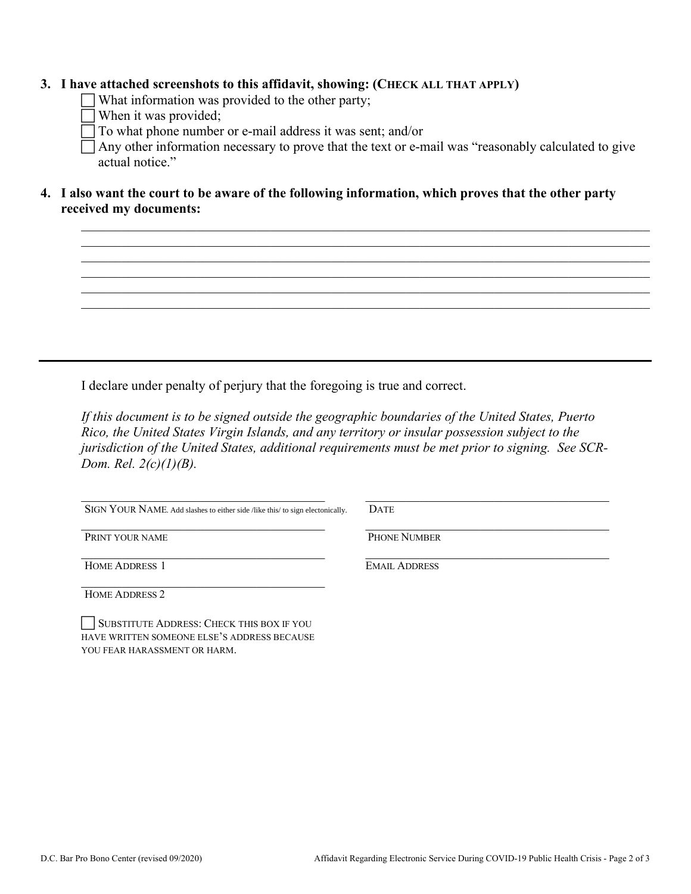## **3. I have attached screenshots to this affidavit, showing: (CHECK ALL THAT APPLY)**

What information was provided to the other party;

- When it was provided;
- To what phone number or e-mail address it was sent; and/or

 Any other information necessary to prove that the text or e-mail was "reasonably calculated to give actual notice."

\_\_\_\_\_\_\_\_\_\_\_\_\_\_\_\_\_\_\_\_\_\_\_\_\_\_\_\_\_\_\_\_\_\_\_\_\_\_\_\_\_\_\_\_\_\_\_\_\_\_\_\_\_\_\_\_\_\_\_\_\_\_\_\_\_\_\_\_\_\_\_\_\_\_\_\_\_\_\_\_\_\_\_\_ \_\_\_\_\_\_\_\_\_\_\_\_\_\_\_\_\_\_\_\_\_\_\_\_\_\_\_\_\_\_\_\_\_\_\_\_\_\_\_\_\_\_\_\_\_\_\_\_\_\_\_\_\_\_\_\_\_\_\_\_\_\_\_\_\_\_\_\_\_\_\_\_\_\_\_\_\_\_\_\_\_\_\_\_

\_\_\_\_\_\_\_\_\_\_\_\_\_\_\_\_\_\_\_\_\_\_\_\_\_\_\_\_\_\_\_\_\_\_\_\_\_\_\_\_\_\_\_\_\_\_\_\_\_\_\_\_\_\_\_\_\_\_\_\_\_\_\_\_\_\_\_\_\_\_\_\_\_\_\_\_\_\_\_\_\_\_\_\_ \_\_\_\_\_\_\_\_\_\_\_\_\_\_\_\_\_\_\_\_\_\_\_\_\_\_\_\_\_\_\_\_\_\_\_\_\_\_\_\_\_\_\_\_\_\_\_\_\_\_\_\_\_\_\_\_\_\_\_\_\_\_\_\_\_\_\_\_\_\_\_\_\_\_\_\_\_\_\_\_\_\_\_\_  $\_$ 

**4. I also want the court to be aware of the following information, which proves that the other party received my documents:**

I declare under penalty of perjury that the foregoing is true and correct.

*If this document is to be signed outside the geographic boundaries of the United States, Puerto Rico, the United States Virgin Islands, and any territory or insular possession subject to the jurisdiction of the United States, additional requirements must be met prior to signing. See SCR-Dom. Rel. 2(c)(1)(B).*

 $\overline{\phantom{a}}$ SIGN YOUR NAME. Add slashes to either side /like this/ to sign electonically.

 $\overline{\phantom{a}}$ 

 $\overline{\phantom{a}}$ **DATE** 

PRINT YOUR NAME

 $\overline{\phantom{a}}$ HOME ADDRESS 1

HOME ADDRESS 2

SUBSTITUTE ADDRESS: CHECK THIS BOX IF YOU HAVE WRITTEN SOMEONE ELSE'S ADDRESS BECAUSE YOU FEAR HARASSMENT OR HARM.

PHONE NUMBER

 $\overline{\phantom{a}}$ EMAIL ADDRESS

 $\overline{\phantom{a}}$